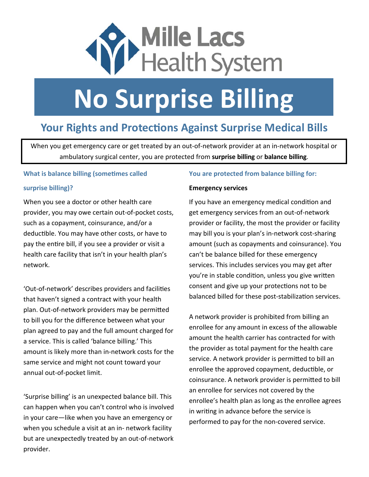

# **No Surprise Billing**

## **Your Rights and Protections Against Surprise Medical Bills**

When you get emergency care or get treated by an out‐of‐network provider at an in‐network hospital or ambulatory surgical center, you are protected from **surprise billing** or **balance billing**.

#### **What is balance billing (sometimes called**

#### **surprise billing)?**

When you see a doctor or other health care provider, you may owe certain out‐of‐pocket costs, such as a copayment, coinsurance, and/or a deductible. You may have other costs, or have to pay the entire bill, if you see a provider or visit a health care facility that isn't in your health plan's network.

'Out-of-network' describes providers and facilities that haven't signed a contract with your health plan. Out-of-network providers may be permitted to bill you for the difference between what your plan agreed to pay and the full amount charged for a service. This is called 'balance billing.' This amount is likely more than in‐network costs for the same service and might not count toward your annual out‐of‐pocket limit.

'Surprise billing' is an unexpected balance bill. This can happen when you can't control who is involved in your care—like when you have an emergency or when you schedule a visit at an in‐ network facility but are unexpectedly treated by an out‐of‐network provider.

#### **You are protected from balance billing for:**

#### **Emergency services**

If you have an emergency medical condition and get emergency services from an out‐of‐network provider or facility, the most the provider or facility may bill you is your plan's in‐network cost‐sharing amount (such as copayments and coinsurance). You can't be balance billed for these emergency services. This includes services you may get after you're in stable condition, unless you give written consent and give up your protections not to be balanced billed for these post-stabilization services.

A network provider is prohibited from billing an enrollee for any amount in excess of the allowable amount the health carrier has contracted for with the provider as total payment for the health care service. A network provider is permitted to bill an enrollee the approved copayment, deductible, or coinsurance. A network provider is permitted to bill an enrollee for services not covered by the enrollee's health plan as long as the enrollee agrees in writing in advance before the service is performed to pay for the non‐covered service.